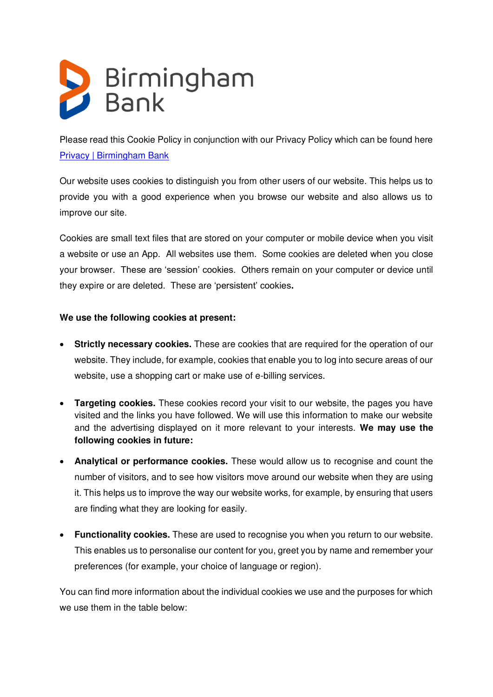

Please read this Cookie Policy in conjunction with our Privacy Policy which can be found here [Privacy | Birmingham Bank](https://www.birminghambank.com/privacy/) 

Our website uses cookies to distinguish you from other users of our website. This helps us to provide you with a good experience when you browse our website and also allows us to improve our site.

Cookies are small text files that are stored on your computer or mobile device when you visit a website or use an App. All websites use them. Some cookies are deleted when you close your browser. These are 'session' cookies. Others remain on your computer or device until they expire or are deleted. These are 'persistent' cookies**.**

## **We use the following cookies at present:**

- **Strictly necessary cookies.** These are cookies that are required for the operation of our website. They include, for example, cookies that enable you to log into secure areas of our website, use a shopping cart or make use of e-billing services.
- **Targeting cookies.** These cookies record your visit to our website, the pages you have visited and the links you have followed. We will use this information to make our website and the advertising displayed on it more relevant to your interests. **We may use the following cookies in future:**
- **Analytical or performance cookies.** These would allow us to recognise and count the number of visitors, and to see how visitors move around our website when they are using it. This helps us to improve the way our website works, for example, by ensuring that users are finding what they are looking for easily.
- **Functionality cookies.** These are used to recognise you when you return to our website. This enables us to personalise our content for you, greet you by name and remember your preferences (for example, your choice of language or region).

You can find more information about the individual cookies we use and the purposes for which we use them in the table below: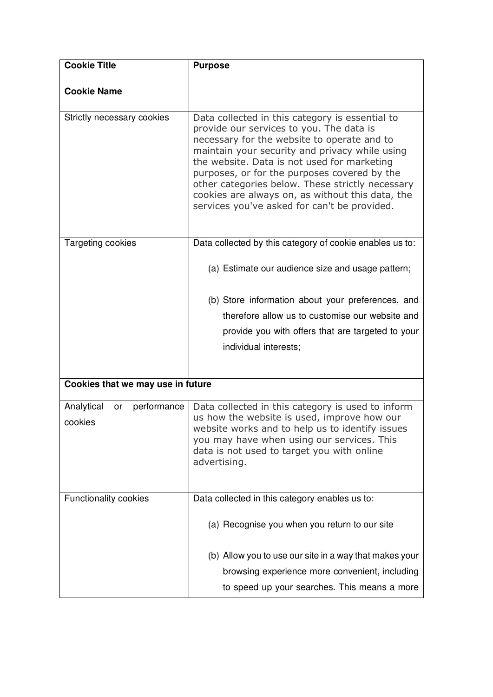| <b>Cookie Title</b>                        | <b>Purpose</b>                                                                                                                                                                                                                                                                                                                                                                                                                                      |
|--------------------------------------------|-----------------------------------------------------------------------------------------------------------------------------------------------------------------------------------------------------------------------------------------------------------------------------------------------------------------------------------------------------------------------------------------------------------------------------------------------------|
| <b>Cookie Name</b>                         |                                                                                                                                                                                                                                                                                                                                                                                                                                                     |
|                                            |                                                                                                                                                                                                                                                                                                                                                                                                                                                     |
| Strictly necessary cookies                 | Data collected in this category is essential to<br>provide our services to you. The data is<br>necessary for the website to operate and to<br>maintain your security and privacy while using<br>the website. Data is not used for marketing<br>purposes, or for the purposes covered by the<br>other categories below. These strictly necessary<br>cookies are always on, as without this data, the<br>services you've asked for can't be provided. |
| Targeting cookies                          | Data collected by this category of cookie enables us to:                                                                                                                                                                                                                                                                                                                                                                                            |
|                                            | (a) Estimate our audience size and usage pattern;                                                                                                                                                                                                                                                                                                                                                                                                   |
|                                            | (b) Store information about your preferences, and                                                                                                                                                                                                                                                                                                                                                                                                   |
|                                            | therefore allow us to customise our website and                                                                                                                                                                                                                                                                                                                                                                                                     |
|                                            | provide you with offers that are targeted to your                                                                                                                                                                                                                                                                                                                                                                                                   |
|                                            | individual interests;                                                                                                                                                                                                                                                                                                                                                                                                                               |
|                                            |                                                                                                                                                                                                                                                                                                                                                                                                                                                     |
| Cookies that we may use in future          |                                                                                                                                                                                                                                                                                                                                                                                                                                                     |
| Analytical<br>performance<br>or<br>cookies | Data collected in this category is used to inform<br>us how the website is used, improve how our<br>website works and to help us to identify issues<br>you may have when using our services. This<br>data is not used to target you with online<br>advertising.                                                                                                                                                                                     |
| Functionality cookies                      | Data collected in this category enables us to:                                                                                                                                                                                                                                                                                                                                                                                                      |
|                                            | (a) Recognise you when you return to our site                                                                                                                                                                                                                                                                                                                                                                                                       |
|                                            | (b) Allow you to use our site in a way that makes your                                                                                                                                                                                                                                                                                                                                                                                              |
|                                            | browsing experience more convenient, including                                                                                                                                                                                                                                                                                                                                                                                                      |
|                                            | to speed up your searches. This means a more                                                                                                                                                                                                                                                                                                                                                                                                        |